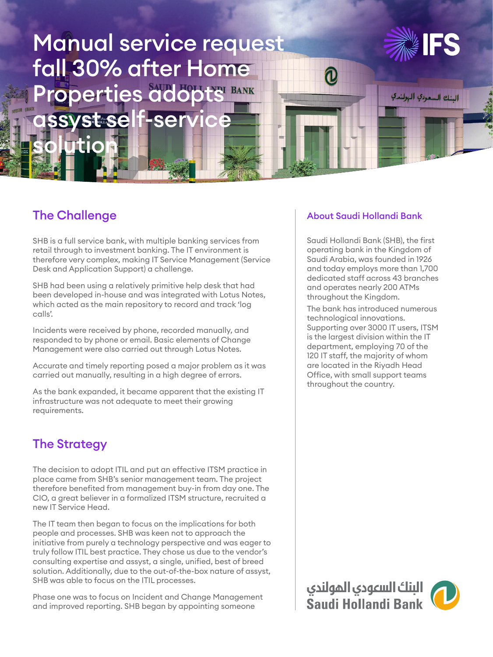# Manual service request fall 30% after Home Properties adopts BANK ssyst self-service



البنك السعودي الهولندي

## The Challenge

solution

SHB is a full service bank, with multiple banking services from retail through to investment banking. The IT environment is therefore very complex, making IT Service Management (Service Desk and Application Support) a challenge.

SHB had been using a relatively primitive help desk that had been developed in-house and was integrated with Lotus Notes, which acted as the main repository to record and track 'log calls'.

Incidents were received by phone, recorded manually, and responded to by phone or email. Basic elements of Change Management were also carried out through Lotus Notes.

Accurate and timely reporting posed a major problem as it was carried out manually, resulting in a high degree of errors.

As the bank expanded, it became apparent that the existing IT infrastructure was not adequate to meet their growing requirements.

## The Strategy

The decision to adopt ITIL and put an effective ITSM practice in place came from SHB's senior management team. The project therefore benefited from management buy-in from day one. The CIO, a great believer in a formalized ITSM structure, recruited a new IT Service Head.

The IT team then began to focus on the implications for both people and processes. SHB was keen not to approach the initiative from purely a technology perspective and was eager to truly follow ITIL best practice. They chose us due to the vendor's consulting expertise and assyst, a single, unified, best of breed solution. Additionally, due to the out-of-the-box nature of assyst, SHB was able to focus on the ITIL processes.

Phase one was to focus on Incident and Change Management and improved reporting. SHB began by appointing someone

#### About Saudi Hollandi Bank

 $\bm{0}$ 

Saudi Hollandi Bank (SHB), the first operating bank in the Kingdom of Saudi Arabia, was founded in 1926 and today employs more than 1,700 dedicated staff across 43 branches and operates nearly 200 ATMs throughout the Kingdom.

The bank has introduced numerous technological innovations. Supporting over 3000 IT users, ITSM is the largest division within the IT department, employing 70 of the 120 IT staff, the majority of whom are located in the Riyadh Head Office, with small support teams throughout the country.

البنك السعودي المولندي<br>Saudi Hollandi Bank